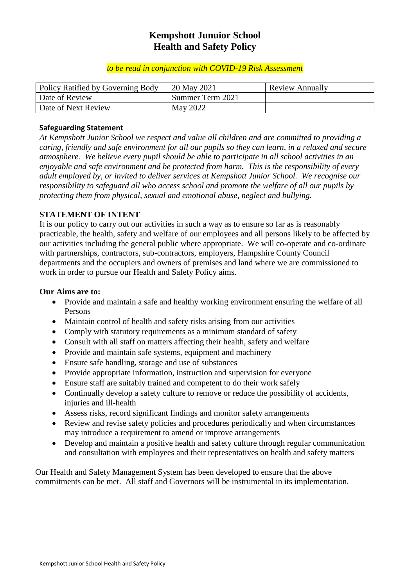## **Kempshott Junuior School Health and Safety Policy**

#### *to be read in conjunction with COVID-19 Risk Assessment*

| Policy Ratified by Governing Body | 20 May 2021      | <b>Review Annually</b> |
|-----------------------------------|------------------|------------------------|
| Date of Review                    | Summer Term 2021 |                        |
| Date of Next Review               | May 2022         |                        |

#### **Safeguarding Statement**

*At Kempshott Junior School we respect and value all children and are committed to providing a caring, friendly and safe environment for all our pupils so they can learn, in a relaxed and secure atmosphere. We believe every pupil should be able to participate in all school activities in an enjoyable and safe environment and be protected from harm. This is the responsibility of every adult employed by, or invited to deliver services at Kempshott Junior School. We recognise our responsibility to safeguard all who access school and promote the welfare of all our pupils by protecting them from physical, sexual and emotional abuse, neglect and bullying.*

## **STATEMENT OF INTENT**

It is our policy to carry out our activities in such a way as to ensure so far as is reasonably practicable, the health, safety and welfare of our employees and all persons likely to be affected by our activities including the general public where appropriate. We will co-operate and co-ordinate with partnerships, contractors, sub-contractors, employers, Hampshire County Council departments and the occupiers and owners of premises and land where we are commissioned to work in order to pursue our Health and Safety Policy aims.

#### **Our Aims are to:**

- Provide and maintain a safe and healthy working environment ensuring the welfare of all Persons
- Maintain control of health and safety risks arising from our activities
- Comply with statutory requirements as a minimum standard of safety
- Consult with all staff on matters affecting their health, safety and welfare
- Provide and maintain safe systems, equipment and machinery
- Ensure safe handling, storage and use of substances
- Provide appropriate information, instruction and supervision for everyone
- Ensure staff are suitably trained and competent to do their work safely
- Continually develop a safety culture to remove or reduce the possibility of accidents, injuries and ill-health
- Assess risks, record significant findings and monitor safety arrangements
- Review and revise safety policies and procedures periodically and when circumstances may introduce a requirement to amend or improve arrangements
- Develop and maintain a positive health and safety culture through regular communication and consultation with employees and their representatives on health and safety matters

Our Health and Safety Management System has been developed to ensure that the above commitments can be met. All staff and Governors will be instrumental in its implementation.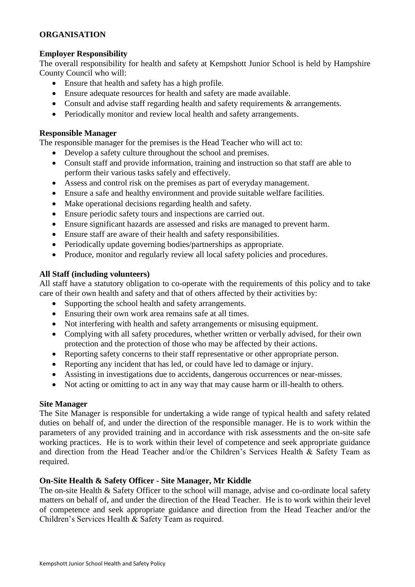## **ORGANISATION**

#### **Employer Responsibility**

The overall responsibility for health and safety at Kempshott Junior School is held by Hampshire County Council who will:

- Ensure that health and safety has a high profile.
- Ensure adequate resources for health and safety are made available.
- Consult and advise staff regarding health and safety requirements & arrangements.
- Periodically monitor and review local health and safety arrangements.

#### **Responsible Manager**

The responsible manager for the premises is the Head Teacher who will act to:

- Develop a safety culture throughout the school and premises.
- Consult staff and provide information, training and instruction so that staff are able to perform their various tasks safely and effectively.
- Assess and control risk on the premises as part of everyday management.
- Ensure a safe and healthy environment and provide suitable welfare facilities.
- Make operational decisions regarding health and safety.
- Ensure periodic safety tours and inspections are carried out.
- Ensure significant hazards are assessed and risks are managed to prevent harm.
- Ensure staff are aware of their health and safety responsibilities.
- Periodically update governing bodies/partnerships as appropriate.
- Produce, monitor and regularly review all local safety policies and procedures.

#### **All Staff (including volunteers)**

All staff have a statutory obligation to co-operate with the requirements of this policy and to take care of their own health and safety and that of others affected by their activities by:

- Supporting the school health and safety arrangements.
- Ensuring their own work area remains safe at all times.
- Not interfering with health and safety arrangements or misusing equipment.
- Complying with all safety procedures, whether written or verbally advised, for their own protection and the protection of those who may be affected by their actions.
- Reporting safety concerns to their staff representative or other appropriate person.
- Reporting any incident that has led, or could have led to damage or injury.
- Assisting in investigations due to accidents, dangerous occurrences or near-misses.
- Not acting or omitting to act in any way that may cause harm or ill-health to others.

#### **Site Manager**

The Site Manager is responsible for undertaking a wide range of typical health and safety related duties on behalf of, and under the direction of the responsible manager. He is to work within the parameters of any provided training and in accordance with risk assessments and the on-site safe working practices. He is to work within their level of competence and seek appropriate guidance and direction from the Head Teacher and/or the Children's Services Health & Safety Team as required.

## **On-Site Health & Safety Officer - Site Manager, Mr Kiddle**

The on-site Health & Safety Officer to the school will manage, advise and co-ordinate local safety matters on behalf of, and under the direction of the Head Teacher. He is to work within their level of competence and seek appropriate guidance and direction from the Head Teacher and/or the Children's Services Health & Safety Team as required.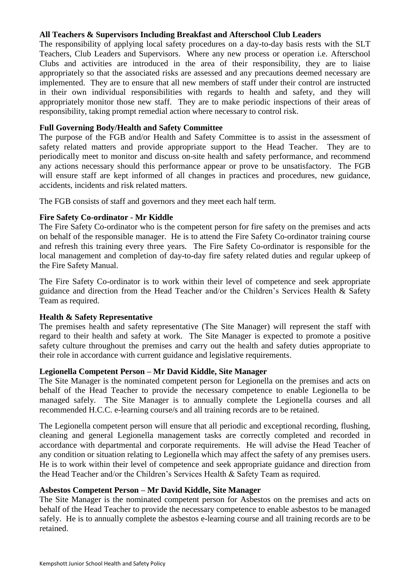#### **All Teachers & Supervisors Including Breakfast and Afterschool Club Leaders**

The responsibility of applying local safety procedures on a day-to-day basis rests with the SLT Teachers, Club Leaders and Supervisors. Where any new process or operation i.e. Afterschool Clubs and activities are introduced in the area of their responsibility, they are to liaise appropriately so that the associated risks are assessed and any precautions deemed necessary are implemented. They are to ensure that all new members of staff under their control are instructed in their own individual responsibilities with regards to health and safety, and they will appropriately monitor those new staff. They are to make periodic inspections of their areas of responsibility, taking prompt remedial action where necessary to control risk.

#### **Full Governing Body/Health and Safety Committee**

The purpose of the FGB and/or Health and Safety Committee is to assist in the assessment of safety related matters and provide appropriate support to the Head Teacher. They are to periodically meet to monitor and discuss on-site health and safety performance, and recommend any actions necessary should this performance appear or prove to be unsatisfactory. The FGB will ensure staff are kept informed of all changes in practices and procedures, new guidance, accidents, incidents and risk related matters.

The FGB consists of staff and governors and they meet each half term.

#### **Fire Safety Co-ordinator - Mr Kiddle**

The Fire Safety Co-ordinator who is the competent person for fire safety on the premises and acts on behalf of the responsible manager. He is to attend the Fire Safety Co-ordinator training course and refresh this training every three years. The Fire Safety Co-ordinator is responsible for the local management and completion of day-to-day fire safety related duties and regular upkeep of the Fire Safety Manual.

The Fire Safety Co-ordinator is to work within their level of competence and seek appropriate guidance and direction from the Head Teacher and/or the Children's Services Health & Safety Team as required.

#### **Health & Safety Representative**

The premises health and safety representative (The Site Manager) will represent the staff with regard to their health and safety at work. The Site Manager is expected to promote a positive safety culture throughout the premises and carry out the health and safety duties appropriate to their role in accordance with current guidance and legislative requirements.

#### **Legionella Competent Person – Mr David Kiddle, Site Manager**

The Site Manager is the nominated competent person for Legionella on the premises and acts on behalf of the Head Teacher to provide the necessary competence to enable Legionella to be managed safely. The Site Manager is to annually complete the Legionella courses and all recommended H.C.C. e-learning course/s and all training records are to be retained.

The Legionella competent person will ensure that all periodic and exceptional recording, flushing, cleaning and general Legionella management tasks are correctly completed and recorded in accordance with departmental and corporate requirements. He will advise the Head Teacher of any condition or situation relating to Legionella which may affect the safety of any premises users. He is to work within their level of competence and seek appropriate guidance and direction from the Head Teacher and/or the Children's Services Health & Safety Team as required.

#### **Asbestos Competent Person – Mr David Kiddle, Site Manager**

The Site Manager is the nominated competent person for Asbestos on the premises and acts on behalf of the Head Teacher to provide the necessary competence to enable asbestos to be managed safely. He is to annually complete the asbestos e-learning course and all training records are to be retained.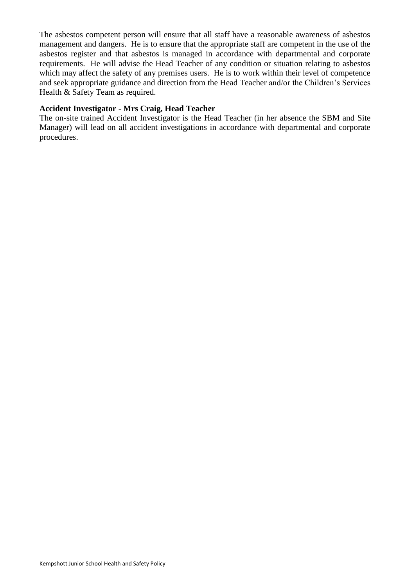The asbestos competent person will ensure that all staff have a reasonable awareness of asbestos management and dangers. He is to ensure that the appropriate staff are competent in the use of the asbestos register and that asbestos is managed in accordance with departmental and corporate requirements. He will advise the Head Teacher of any condition or situation relating to asbestos which may affect the safety of any premises users. He is to work within their level of competence and seek appropriate guidance and direction from the Head Teacher and/or the Children's Services Health & Safety Team as required.

#### **Accident Investigator - Mrs Craig, Head Teacher**

The on-site trained Accident Investigator is the Head Teacher (in her absence the SBM and Site Manager) will lead on all accident investigations in accordance with departmental and corporate procedures.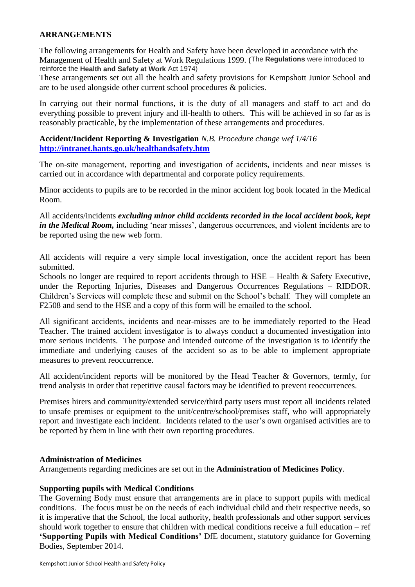#### **ARRANGEMENTS**

The following arrangements for Health and Safety have been developed in accordance with the Management of Health and Safety at Work Regulations 1999. (The **Regulations** were introduced to reinforce the **Health and Safety at Work** Act 1974)

These arrangements set out all the health and safety provisions for Kempshott Junior School and are to be used alongside other current school procedures & policies.

In carrying out their normal functions, it is the duty of all managers and staff to act and do everything possible to prevent injury and ill-health to others. This will be achieved in so far as is reasonably practicable, by the implementation of these arrangements and procedures.

#### **Accident/Incident Reporting & Investigation** *N.B. Procedure change wef 1/4/16* **<http://intranet.hants.go.uk/healthandsafety.htm>**

The on-site management, reporting and investigation of accidents, incidents and near misses is carried out in accordance with departmental and corporate policy requirements.

Minor accidents to pupils are to be recorded in the minor accident log book located in the Medical Room.

All accidents/incidents *excluding minor child accidents recorded in the local accident book, kept in the Medical Room*, including 'near misses', dangerous occurrences, and violent incidents are to be reported using the new web form.

All accidents will require a very simple local investigation, once the accident report has been submitted.

Schools no longer are required to report accidents through to HSE – Health & Safety Executive, under the Reporting Injuries, Diseases and Dangerous Occurrences Regulations – RIDDOR. Children's Services will complete these and submit on the School's behalf. They will complete an F2508 and send to the HSE and a copy of this form will be emailed to the school.

All significant accidents, incidents and near-misses are to be immediately reported to the Head Teacher. The trained accident investigator is to always conduct a documented investigation into more serious incidents. The purpose and intended outcome of the investigation is to identify the immediate and underlying causes of the accident so as to be able to implement appropriate measures to prevent reoccurrence.

All accident/incident reports will be monitored by the Head Teacher & Governors, termly, for trend analysis in order that repetitive causal factors may be identified to prevent reoccurrences.

Premises hirers and community/extended service/third party users must report all incidents related to unsafe premises or equipment to the unit/centre/school/premises staff, who will appropriately report and investigate each incident. Incidents related to the user's own organised activities are to be reported by them in line with their own reporting procedures.

#### **Administration of Medicines**

Arrangements regarding medicines are set out in the **Administration of Medicines Policy**.

#### **Supporting pupils with Medical Conditions**

The Governing Body must ensure that arrangements are in place to support pupils with medical conditions. The focus must be on the needs of each individual child and their respective needs, so it is imperative that the School, the local authority, health professionals and other support services should work together to ensure that children with medical conditions receive a full education – ref **'Supporting Pupils with Medical Conditions'** DfE document, statutory guidance for Governing Bodies, September 2014.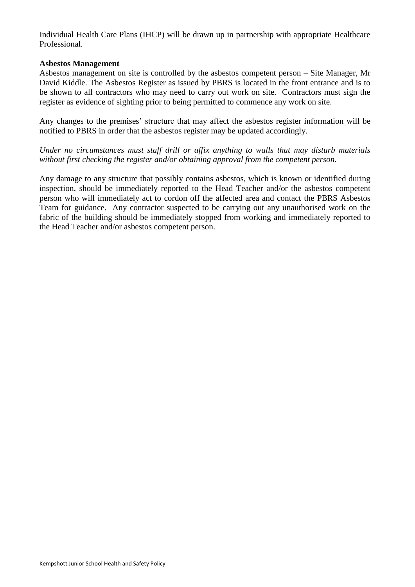Individual Health Care Plans (IHCP) will be drawn up in partnership with appropriate Healthcare Professional.

#### **Asbestos Management**

Asbestos management on site is controlled by the asbestos competent person – Site Manager, Mr David Kiddle. The Asbestos Register as issued by PBRS is located in the front entrance and is to be shown to all contractors who may need to carry out work on site. Contractors must sign the register as evidence of sighting prior to being permitted to commence any work on site.

Any changes to the premises' structure that may affect the asbestos register information will be notified to PBRS in order that the asbestos register may be updated accordingly.

*Under no circumstances must staff drill or affix anything to walls that may disturb materials without first checking the register and/or obtaining approval from the competent person.*

Any damage to any structure that possibly contains asbestos, which is known or identified during inspection, should be immediately reported to the Head Teacher and/or the asbestos competent person who will immediately act to cordon off the affected area and contact the PBRS Asbestos Team for guidance. Any contractor suspected to be carrying out any unauthorised work on the fabric of the building should be immediately stopped from working and immediately reported to the Head Teacher and/or asbestos competent person.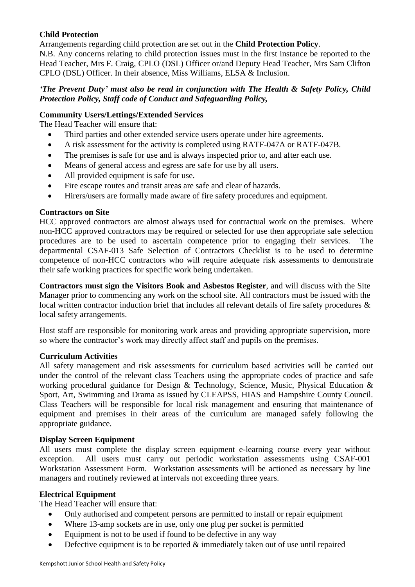## **Child Protection**

Arrangements regarding child protection are set out in the **Child Protection Policy**.

N.B. Any concerns relating to child protection issues must in the first instance be reported to the Head Teacher, Mrs F. Craig, CPLO (DSL) Officer or/and Deputy Head Teacher, Mrs Sam Clifton CPLO (DSL) Officer. In their absence, Miss Williams, ELSA & Inclusion.

#### *'The Prevent Duty' must also be read in conjunction with The Health & Safety Policy, Child Protection Policy, Staff code of Conduct and Safeguarding Policy,*

#### **Community Users/Lettings/Extended Services**

The Head Teacher will ensure that:

- Third parties and other extended service users operate under hire agreements.
- A risk assessment for the activity is completed using RATF-047A or RATF-047B.
- The premises is safe for use and is always inspected prior to, and after each use.
- Means of general access and egress are safe for use by all users.
- All provided equipment is safe for use.
- Fire escape routes and transit areas are safe and clear of hazards.
- Hirers/users are formally made aware of fire safety procedures and equipment.

#### **Contractors on Site**

HCC approved contractors are almost always used for contractual work on the premises. Where non-HCC approved contractors may be required or selected for use then appropriate safe selection procedures are to be used to ascertain competence prior to engaging their services. The departmental CSAF-013 Safe Selection of Contractors Checklist is to be used to determine competence of non-HCC contractors who will require adequate risk assessments to demonstrate their safe working practices for specific work being undertaken.

**Contractors must sign the Visitors Book and Asbestos Register**, and will discuss with the Site Manager prior to commencing any work on the school site. All contractors must be issued with the local written contractor induction brief that includes all relevant details of fire safety procedures & local safety arrangements.

Host staff are responsible for monitoring work areas and providing appropriate supervision, more so where the contractor's work may directly affect staff and pupils on the premises.

#### **Curriculum Activities**

All safety management and risk assessments for curriculum based activities will be carried out under the control of the relevant class Teachers using the appropriate codes of practice and safe working procedural guidance for Design & Technology, Science, Music, Physical Education & Sport, Art, Swimming and Drama as issued by CLEAPSS, HIAS and Hampshire County Council. Class Teachers will be responsible for local risk management and ensuring that maintenance of equipment and premises in their areas of the curriculum are managed safely following the appropriate guidance.

#### **Display Screen Equipment**

All users must complete the display screen equipment e-learning course every year without exception. All users must carry out periodic workstation assessments using CSAF-001 Workstation Assessment Form. Workstation assessments will be actioned as necessary by line managers and routinely reviewed at intervals not exceeding three years.

#### **Electrical Equipment**

The Head Teacher will ensure that:

- Only authorised and competent persons are permitted to install or repair equipment
- Where 13-amp sockets are in use, only one plug per socket is permitted
- Equipment is not to be used if found to be defective in any way
- $\bullet$  Defective equipment is to be reported  $\&$  immediately taken out of use until repaired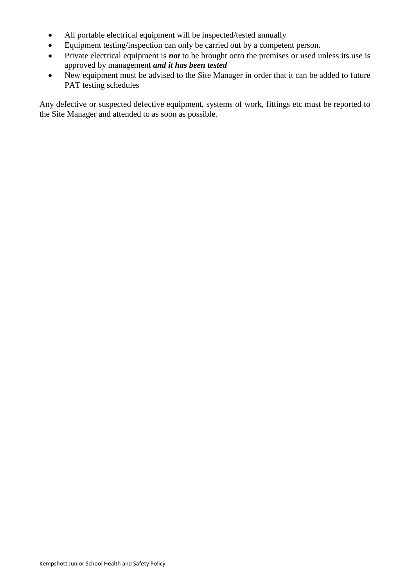- All portable electrical equipment will be inspected/tested annually
- Equipment testing/inspection can only be carried out by a competent person.
- Private electrical equipment is *not* to be brought onto the premises or used unless its use is approved by management *and it has been tested*
- New equipment must be advised to the Site Manager in order that it can be added to future PAT testing schedules

Any defective or suspected defective equipment, systems of work, fittings etc must be reported to the Site Manager and attended to as soon as possible.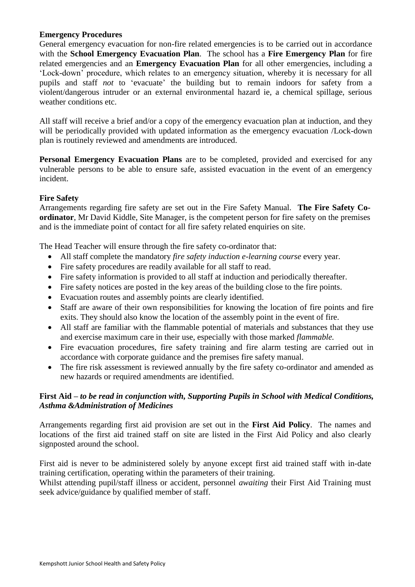#### **Emergency Procedures**

General emergency evacuation for non-fire related emergencies is to be carried out in accordance with the **School Emergency Evacuation Plan**. The school has a **Fire Emergency Plan** for fire related emergencies and an **Emergency Evacuation Plan** for all other emergencies, including a 'Lock-down' procedure, which relates to an emergency situation, whereby it is necessary for all pupils and staff *not* to 'evacuate' the building but to remain indoors for safety from a violent/dangerous intruder or an external environmental hazard ie, a chemical spillage, serious weather conditions etc.

All staff will receive a brief and/or a copy of the emergency evacuation plan at induction, and they will be periodically provided with updated information as the emergency evacuation /Lock-down plan is routinely reviewed and amendments are introduced.

**Personal Emergency Evacuation Plans** are to be completed, provided and exercised for any vulnerable persons to be able to ensure safe, assisted evacuation in the event of an emergency incident.

#### **Fire Safety**

Arrangements regarding fire safety are set out in the Fire Safety Manual. **The Fire Safety Coordinator**, Mr David Kiddle, Site Manager, is the competent person for fire safety on the premises and is the immediate point of contact for all fire safety related enquiries on site.

The Head Teacher will ensure through the fire safety co-ordinator that:

- All staff complete the mandatory *fire safety induction e-learning course* every year.
- Fire safety procedures are readily available for all staff to read.
- Fire safety information is provided to all staff at induction and periodically thereafter.
- Fire safety notices are posted in the key areas of the building close to the fire points.
- Evacuation routes and assembly points are clearly identified.
- Staff are aware of their own responsibilities for knowing the location of fire points and fire exits. They should also know the location of the assembly point in the event of fire.
- All staff are familiar with the flammable potential of materials and substances that they use and exercise maximum care in their use, especially with those marked *flammable.*
- Fire evacuation procedures, fire safety training and fire alarm testing are carried out in accordance with corporate guidance and the premises fire safety manual.
- The fire risk assessment is reviewed annually by the fire safety co-ordinator and amended as new hazards or required amendments are identified.

#### **First Aid –** *to be read in conjunction with, Supporting Pupils in School with Medical Conditions, Asthma &Administration of Medicines*

Arrangements regarding first aid provision are set out in the **First Aid Policy**. The names and locations of the first aid trained staff on site are listed in the First Aid Policy and also clearly signposted around the school.

First aid is never to be administered solely by anyone except first aid trained staff with in-date training certification, operating within the parameters of their training.

Whilst attending pupil/staff illness or accident, personnel *awaiting* their First Aid Training must seek advice/guidance by qualified member of staff.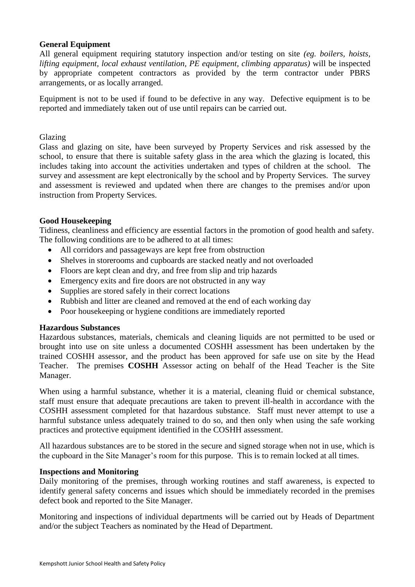#### **General Equipment**

All general equipment requiring statutory inspection and/or testing on site *(eg. boilers, hoists, lifting equipment, local exhaust ventilation, PE equipment, climbing apparatus)* will be inspected by appropriate competent contractors as provided by the term contractor under PBRS arrangements, or as locally arranged.

Equipment is not to be used if found to be defective in any way. Defective equipment is to be reported and immediately taken out of use until repairs can be carried out.

#### Glazing

Glass and glazing on site, have been surveyed by Property Services and risk assessed by the school, to ensure that there is suitable safety glass in the area which the glazing is located, this includes taking into account the activities undertaken and types of children at the school. The survey and assessment are kept electronically by the school and by Property Services. The survey and assessment is reviewed and updated when there are changes to the premises and/or upon instruction from Property Services.

#### **Good Housekeeping**

Tidiness, cleanliness and efficiency are essential factors in the promotion of good health and safety. The following conditions are to be adhered to at all times:

- All corridors and passageways are kept free from obstruction
- Shelves in storerooms and cupboards are stacked neatly and not overloaded
- Floors are kept clean and dry, and free from slip and trip hazards
- Emergency exits and fire doors are not obstructed in any way
- Supplies are stored safely in their correct locations
- Rubbish and litter are cleaned and removed at the end of each working day
- Poor housekeeping or hygiene conditions are immediately reported

#### **Hazardous Substances**

Hazardous substances, materials, chemicals and cleaning liquids are not permitted to be used or brought into use on site unless a documented COSHH assessment has been undertaken by the trained COSHH assessor, and the product has been approved for safe use on site by the Head Teacher. The premises **COSHH** Assessor acting on behalf of the Head Teacher is the Site Manager.

When using a harmful substance, whether it is a material, cleaning fluid or chemical substance, staff must ensure that adequate precautions are taken to prevent ill-health in accordance with the COSHH assessment completed for that hazardous substance. Staff must never attempt to use a harmful substance unless adequately trained to do so, and then only when using the safe working practices and protective equipment identified in the COSHH assessment.

All hazardous substances are to be stored in the secure and signed storage when not in use, which is the cupboard in the Site Manager's room for this purpose. This is to remain locked at all times.

#### **Inspections and Monitoring**

Daily monitoring of the premises, through working routines and staff awareness, is expected to identify general safety concerns and issues which should be immediately recorded in the premises defect book and reported to the Site Manager.

Monitoring and inspections of individual departments will be carried out by Heads of Department and/or the subject Teachers as nominated by the Head of Department.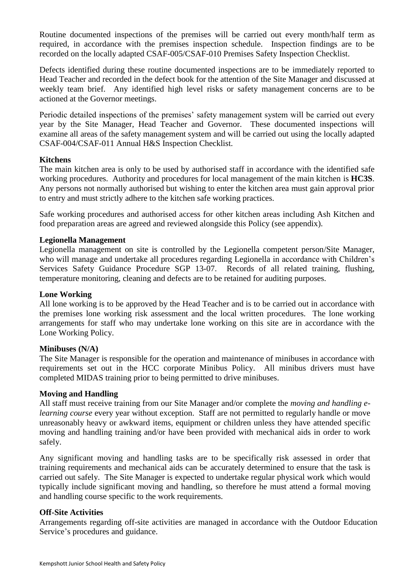Routine documented inspections of the premises will be carried out every month/half term as required, in accordance with the premises inspection schedule. Inspection findings are to be recorded on the locally adapted CSAF-005/CSAF-010 Premises Safety Inspection Checklist.

Defects identified during these routine documented inspections are to be immediately reported to Head Teacher and recorded in the defect book for the attention of the Site Manager and discussed at weekly team brief. Any identified high level risks or safety management concerns are to be actioned at the Governor meetings.

Periodic detailed inspections of the premises' safety management system will be carried out every year by the Site Manager, Head Teacher and Governor. These documented inspections will examine all areas of the safety management system and will be carried out using the locally adapted CSAF-004/CSAF-011 Annual H&S Inspection Checklist.

#### **Kitchens**

The main kitchen area is only to be used by authorised staff in accordance with the identified safe working procedures. Authority and procedures for local management of the main kitchen is **HC3S**. Any persons not normally authorised but wishing to enter the kitchen area must gain approval prior to entry and must strictly adhere to the kitchen safe working practices.

Safe working procedures and authorised access for other kitchen areas including Ash Kitchen and food preparation areas are agreed and reviewed alongside this Policy (see appendix).

#### **Legionella Management**

Legionella management on site is controlled by the Legionella competent person/Site Manager, who will manage and undertake all procedures regarding Legionella in accordance with Children's Services Safety Guidance Procedure SGP 13-07. Records of all related training, flushing, temperature monitoring, cleaning and defects are to be retained for auditing purposes.

#### **Lone Working**

All lone working is to be approved by the Head Teacher and is to be carried out in accordance with the premises lone working risk assessment and the local written procedures. The lone working arrangements for staff who may undertake lone working on this site are in accordance with the Lone Working Policy.

#### **Minibuses (N/A)**

The Site Manager is responsible for the operation and maintenance of minibuses in accordance with requirements set out in the HCC corporate Minibus Policy. All minibus drivers must have completed MIDAS training prior to being permitted to drive minibuses.

#### **Moving and Handling**

All staff must receive training from our Site Manager and/or complete the *moving and handling elearning course* every year without exception. Staff are not permitted to regularly handle or move unreasonably heavy or awkward items, equipment or children unless they have attended specific moving and handling training and/or have been provided with mechanical aids in order to work safely.

Any significant moving and handling tasks are to be specifically risk assessed in order that training requirements and mechanical aids can be accurately determined to ensure that the task is carried out safely. The Site Manager is expected to undertake regular physical work which would typically include significant moving and handling, so therefore he must attend a formal moving and handling course specific to the work requirements.

#### **Off-Site Activities**

Arrangements regarding off-site activities are managed in accordance with the Outdoor Education Service's procedures and guidance.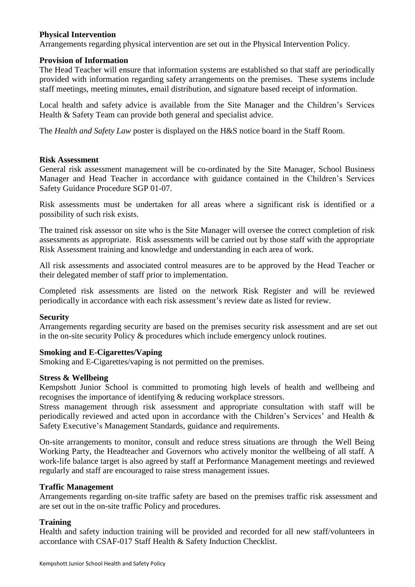#### **Physical Intervention**

Arrangements regarding physical intervention are set out in the Physical Intervention Policy.

#### **Provision of Information**

The Head Teacher will ensure that information systems are established so that staff are periodically provided with information regarding safety arrangements on the premises. These systems include staff meetings, meeting minutes, email distribution, and signature based receipt of information.

Local health and safety advice is available from the Site Manager and the Children's Services Health & Safety Team can provide both general and specialist advice.

The *Health and Safety Law* poster is displayed on the H&S notice board in the Staff Room.

#### **Risk Assessment**

General risk assessment management will be co-ordinated by the Site Manager, School Business Manager and Head Teacher in accordance with guidance contained in the Children's Services Safety Guidance Procedure SGP 01-07.

Risk assessments must be undertaken for all areas where a significant risk is identified or a possibility of such risk exists.

The trained risk assessor on site who is the Site Manager will oversee the correct completion of risk assessments as appropriate. Risk assessments will be carried out by those staff with the appropriate Risk Assessment training and knowledge and understanding in each area of work.

All risk assessments and associated control measures are to be approved by the Head Teacher or their delegated member of staff prior to implementation.

Completed risk assessments are listed on the network Risk Register and will be reviewed periodically in accordance with each risk assessment's review date as listed for review.

#### **Security**

Arrangements regarding security are based on the premises security risk assessment and are set out in the on-site security Policy & procedures which include emergency unlock routines.

#### **Smoking and E-Cigarettes/Vaping**

Smoking and E-Cigarettes/vaping is not permitted on the premises.

#### **Stress & Wellbeing**

Kempshott Junior School is committed to promoting high levels of health and wellbeing and recognises the importance of identifying & reducing workplace stressors.

Stress management through risk assessment and appropriate consultation with staff will be periodically reviewed and acted upon in accordance with the Children's Services' and Health & Safety Executive's Management Standards, guidance and requirements.

On-site arrangements to monitor, consult and reduce stress situations are through the Well Being Working Party, the Headteacher and Governors who actively monitor the wellbeing of all staff. A work-life balance target is also agreed by staff at Performance Management meetings and reviewed regularly and staff are encouraged to raise stress management issues.

#### **Traffic Management**

Arrangements regarding on-site traffic safety are based on the premises traffic risk assessment and are set out in the on-site traffic Policy and procedures.

#### **Training**

Health and safety induction training will be provided and recorded for all new staff/volunteers in accordance with CSAF-017 Staff Health & Safety Induction Checklist.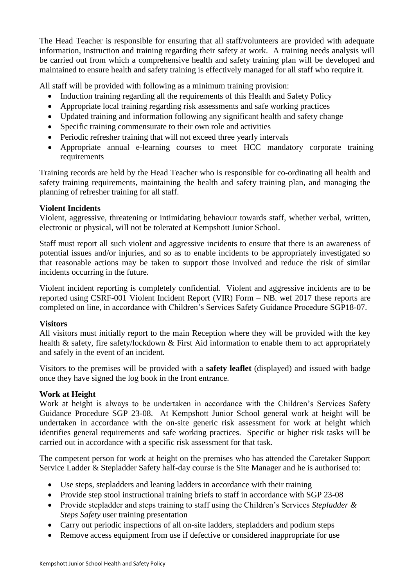The Head Teacher is responsible for ensuring that all staff/volunteers are provided with adequate information, instruction and training regarding their safety at work. A training needs analysis will be carried out from which a comprehensive health and safety training plan will be developed and maintained to ensure health and safety training is effectively managed for all staff who require it.

All staff will be provided with following as a minimum training provision:

- Induction training regarding all the requirements of this Health and Safety Policy
- Appropriate local training regarding risk assessments and safe working practices
- Updated training and information following any significant health and safety change
- Specific training commensurate to their own role and activities
- Periodic refresher training that will not exceed three yearly intervals
- Appropriate annual e-learning courses to meet HCC mandatory corporate training requirements

Training records are held by the Head Teacher who is responsible for co-ordinating all health and safety training requirements, maintaining the health and safety training plan, and managing the planning of refresher training for all staff.

## **Violent Incidents**

Violent, aggressive, threatening or intimidating behaviour towards staff, whether verbal, written, electronic or physical, will not be tolerated at Kempshott Junior School.

Staff must report all such violent and aggressive incidents to ensure that there is an awareness of potential issues and/or injuries, and so as to enable incidents to be appropriately investigated so that reasonable actions may be taken to support those involved and reduce the risk of similar incidents occurring in the future.

Violent incident reporting is completely confidential. Violent and aggressive incidents are to be reported using CSRF-001 Violent Incident Report (VIR) Form – NB. wef 2017 these reports are completed on line, in accordance with Children's Services Safety Guidance Procedure SGP18-07.

## **Visitors**

All visitors must initially report to the main Reception where they will be provided with the key health & safety, fire safety/lockdown & First Aid information to enable them to act appropriately and safely in the event of an incident.

Visitors to the premises will be provided with a **safety leaflet** (displayed) and issued with badge once they have signed the log book in the front entrance.

## **Work at Height**

Work at height is always to be undertaken in accordance with the Children's Services Safety Guidance Procedure SGP 23-08. At Kempshott Junior School general work at height will be undertaken in accordance with the on-site generic risk assessment for work at height which identifies general requirements and safe working practices. Specific or higher risk tasks will be carried out in accordance with a specific risk assessment for that task.

The competent person for work at height on the premises who has attended the Caretaker Support Service Ladder & Stepladder Safety half-day course is the Site Manager and he is authorised to:

- Use steps, stepladders and leaning ladders in accordance with their training
- Provide step stool instructional training briefs to staff in accordance with SGP 23-08
- Provide stepladder and steps training to staff using the Children's Services *Stepladder & Steps Safety* user training presentation
- Carry out periodic inspections of all on-site ladders, stepladders and podium steps
- Remove access equipment from use if defective or considered inappropriate for use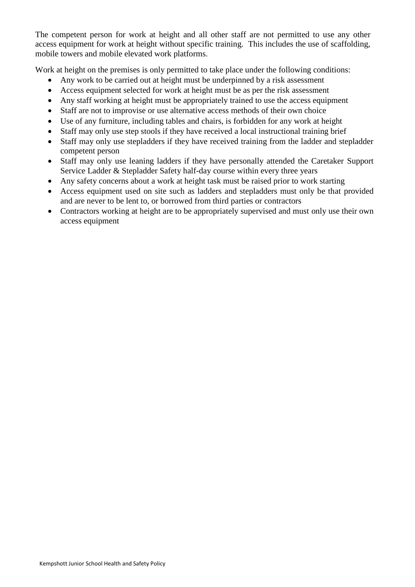The competent person for work at height and all other staff are not permitted to use any other access equipment for work at height without specific training. This includes the use of scaffolding, mobile towers and mobile elevated work platforms.

Work at height on the premises is only permitted to take place under the following conditions:

- Any work to be carried out at height must be underpinned by a risk assessment
- Access equipment selected for work at height must be as per the risk assessment
- Any staff working at height must be appropriately trained to use the access equipment
- Staff are not to improvise or use alternative access methods of their own choice
- Use of any furniture, including tables and chairs, is forbidden for any work at height
- Staff may only use step stools if they have received a local instructional training brief
- Staff may only use stepladders if they have received training from the ladder and stepladder competent person
- Staff may only use leaning ladders if they have personally attended the Caretaker Support Service Ladder & Stepladder Safety half-day course within every three years
- Any safety concerns about a work at height task must be raised prior to work starting
- Access equipment used on site such as ladders and stepladders must only be that provided and are never to be lent to, or borrowed from third parties or contractors
- Contractors working at height are to be appropriately supervised and must only use their own access equipment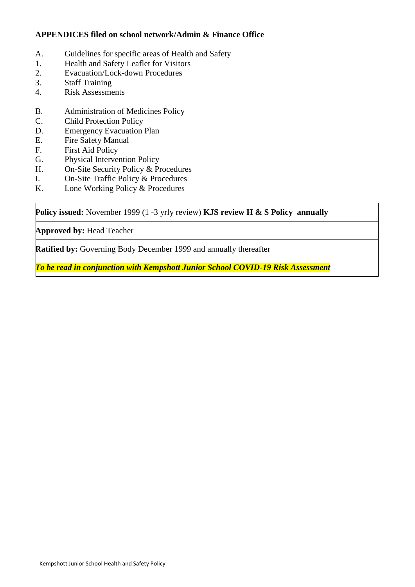## **APPENDICES filed on school network/Admin & Finance Office**

- A. Guidelines for specific areas of Health and Safety
- 1. Health and Safety Leaflet for Visitors
- 2. Evacuation/Lock-down Procedures
- 3. Staff Training
- 4. Risk Assessments
- B. Administration of Medicines Policy
- C. Child Protection Policy
- D. Emergency Evacuation Plan
- E. Fire Safety Manual
- F. First Aid Policy
- G. Physical Intervention Policy
- H. On-Site Security Policy & Procedures
- I. On-Site Traffic Policy & Procedures
- K. Lone Working Policy & Procedures

**Policy issued:** November 1999 (1 -3 yrly review) **KJS review H & S Policy annually**

**Approved by:** Head Teacher

**Ratified by:** Governing Body December 1999 and annually thereafter

*To be read in conjunction with Kempshott Junior School COVID-19 Risk Assessment*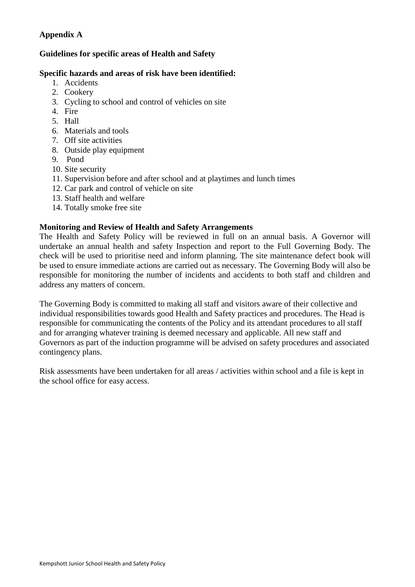## **Appendix A**

## **Guidelines for specific areas of Health and Safety**

## **Specific hazards and areas of risk have been identified:**

- 1. Accidents
- 2. Cookery
- 3. Cycling to school and control of vehicles on site
- 4. Fire
- 5. Hall
- 6. Materials and tools
- 7. Off site activities
- 8. Outside play equipment
- 9. Pond
- 10. Site security
- 11. Supervision before and after school and at playtimes and lunch times
- 12. Car park and control of vehicle on site
- 13. Staff health and welfare
- 14. Totally smoke free site

## **Monitoring and Review of Health and Safety Arrangements**

The Health and Safety Policy will be reviewed in full on an annual basis. A Governor will undertake an annual health and safety Inspection and report to the Full Governing Body. The check will be used to prioritise need and inform planning. The site maintenance defect book will be used to ensure immediate actions are carried out as necessary. The Governing Body will also be responsible for monitoring the number of incidents and accidents to both staff and children and address any matters of concern.

The Governing Body is committed to making all staff and visitors aware of their collective and individual responsibilities towards good Health and Safety practices and procedures. The Head is responsible for communicating the contents of the Policy and its attendant procedures to all staff and for arranging whatever training is deemed necessary and applicable. All new staff and Governors as part of the induction programme will be advised on safety procedures and associated contingency plans.

Risk assessments have been undertaken for all areas / activities within school and a file is kept in the school office for easy access.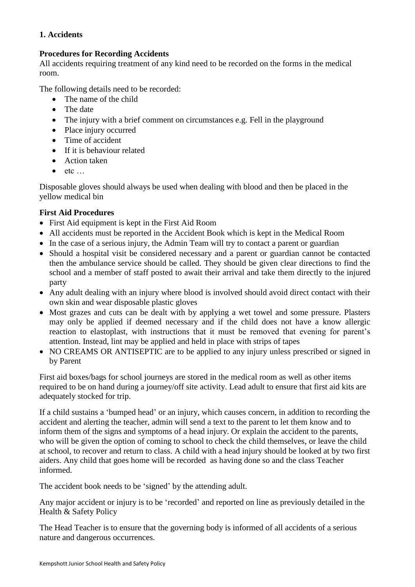## **1. Accidents**

## **Procedures for Recording Accidents**

All accidents requiring treatment of any kind need to be recorded on the forms in the medical room.

The following details need to be recorded:

- The name of the child
- The date
- The injury with a brief comment on circumstances e.g. Fell in the playground
- Place injury occurred
- Time of accident
- If it is behaviour related
- Action taken
- etc …

Disposable gloves should always be used when dealing with blood and then be placed in the yellow medical bin

## **First Aid Procedures**

- First Aid equipment is kept in the First Aid Room
- All accidents must be reported in the Accident Book which is kept in the Medical Room
- In the case of a serious injury, the Admin Team will try to contact a parent or guardian
- Should a hospital visit be considered necessary and a parent or guardian cannot be contacted then the ambulance service should be called. They should be given clear directions to find the school and a member of staff posted to await their arrival and take them directly to the injured party
- Any adult dealing with an injury where blood is involved should avoid direct contact with their own skin and wear disposable plastic gloves
- Most grazes and cuts can be dealt with by applying a wet towel and some pressure. Plasters may only be applied if deemed necessary and if the child does not have a know allergic reaction to elastoplast, with instructions that it must be removed that evening for parent's attention. Instead, lint may be applied and held in place with strips of tapes
- NO CREAMS OR ANTISEPTIC are to be applied to any injury unless prescribed or signed in by Parent

First aid boxes/bags for school journeys are stored in the medical room as well as other items required to be on hand during a journey/off site activity. Lead adult to ensure that first aid kits are adequately stocked for trip.

If a child sustains a 'bumped head' or an injury, which causes concern, in addition to recording the accident and alerting the teacher, admin will send a text to the parent to let them know and to inform them of the signs and symptoms of a head injury. Or explain the accident to the parents, who will be given the option of coming to school to check the child themselves, or leave the child at school, to recover and return to class. A child with a head injury should be looked at by two first aiders. Any child that goes home will be recorded as having done so and the class Teacher informed.

The accident book needs to be 'signed' by the attending adult.

Any major accident or injury is to be 'recorded' and reported on line as previously detailed in the Health & Safety Policy

The Head Teacher is to ensure that the governing body is informed of all accidents of a serious nature and dangerous occurrences.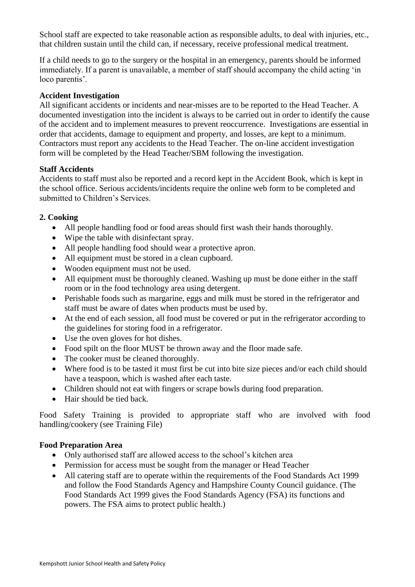School staff are expected to take reasonable action as responsible adults, to deal with injuries, etc., that children sustain until the child can, if necessary, receive professional medical treatment.

If a child needs to go to the surgery or the hospital in an emergency, parents should be informed immediately. If a parent is unavailable, a member of staff should accompany the child acting 'in loco parentis'.

#### **Accident Investigation**

All significant accidents or incidents and near-misses are to be reported to the Head Teacher. A documented investigation into the incident is always to be carried out in order to identify the cause of the accident and to implement measures to prevent reoccurrence. Investigations are essential in order that accidents, damage to equipment and property, and losses, are kept to a minimum. Contractors must report any accidents to the Head Teacher. The on-line accident investigation form will be completed by the Head Teacher/SBM following the investigation.

#### **Staff Accidents**

Accidents to staff must also be reported and a record kept in the Accident Book, which is kept in the school office. Serious accidents/incidents require the online web form to be completed and submitted to Children's Services.

#### **2. Cooking**

- All people handling food or food areas should first wash their hands thoroughly.
- Wipe the table with disinfectant spray.
- All people handling food should wear a protective apron.
- All equipment must be stored in a clean cupboard.
- Wooden equipment must not be used.
- All equipment must be thoroughly cleaned. Washing up must be done either in the staff room or in the food technology area using detergent.
- Perishable foods such as margarine, eggs and milk must be stored in the refrigerator and staff must be aware of dates when products must be used by.
- At the end of each session, all food must be covered or put in the refrigerator according to the guidelines for storing food in a refrigerator.
- Use the oven gloves for hot dishes.
- Food spilt on the floor MUST be thrown away and the floor made safe.
- The cooker must be cleaned thoroughly.
- Where food is to be tasted it must first be cut into bite size pieces and/or each child should have a teaspoon, which is washed after each taste.
- Children should not eat with fingers or scrape bowls during food preparation.
- Hair should be tied back.

Food Safety Training is provided to appropriate staff who are involved with food handling/cookery (see Training File)

## **Food Preparation Area**

- Only authorised staff are allowed access to the school's kitchen area
- Permission for access must be sought from the manager or Head Teacher
- All catering staff are to operate within the requirements of the Food Standards Act 1999 and follow the Food Standards Agency and Hampshire County Council guidance. (The Food Standards Act 1999 gives the Food Standards Agency (FSA) its functions and powers. The FSA aims to protect public health.)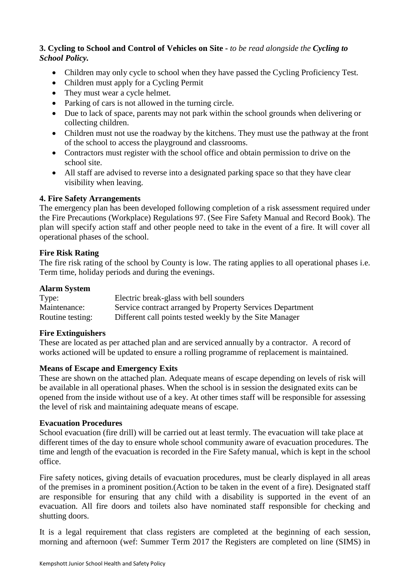## **3. Cycling to School and Control of Vehicles on Site -** *to be read alongside the Cycling to School Policy.*

- Children may only cycle to school when they have passed the Cycling Proficiency Test.
- Children must apply for a Cycling Permit
- They must wear a cycle helmet.
- Parking of cars is not allowed in the turning circle.
- Due to lack of space, parents may not park within the school grounds when delivering or collecting children.
- Children must not use the roadway by the kitchens. They must use the pathway at the front of the school to access the playground and classrooms.
- Contractors must register with the school office and obtain permission to drive on the school site.
- All staff are advised to reverse into a designated parking space so that they have clear visibility when leaving.

## **4. Fire Safety Arrangements**

The emergency plan has been developed following completion of a risk assessment required under the Fire Precautions (Workplace) Regulations 97. (See Fire Safety Manual and Record Book). The plan will specify action staff and other people need to take in the event of a fire. It will cover all operational phases of the school.

#### **Fire Risk Rating**

The fire risk rating of the school by County is low. The rating applies to all operational phases i.e. Term time, holiday periods and during the evenings.

#### **Alarm System**

| Type:            | Electric break-glass with bell sounders                   |
|------------------|-----------------------------------------------------------|
| Maintenance:     | Service contract arranged by Property Services Department |
| Routine testing: | Different call points tested weekly by the Site Manager   |

## **Fire Extinguishers**

These are located as per attached plan and are serviced annually by a contractor. A record of works actioned will be updated to ensure a rolling programme of replacement is maintained.

## **Means of Escape and Emergency Exits**

These are shown on the attached plan. Adequate means of escape depending on levels of risk will be available in all operational phases. When the school is in session the designated exits can be opened from the inside without use of a key. At other times staff will be responsible for assessing the level of risk and maintaining adequate means of escape.

#### **Evacuation Procedures**

School evacuation (fire drill) will be carried out at least termly. The evacuation will take place at different times of the day to ensure whole school community aware of evacuation procedures. The time and length of the evacuation is recorded in the Fire Safety manual, which is kept in the school office.

Fire safety notices, giving details of evacuation procedures, must be clearly displayed in all areas of the premises in a prominent position.(Action to be taken in the event of a fire). Designated staff are responsible for ensuring that any child with a disability is supported in the event of an evacuation. All fire doors and toilets also have nominated staff responsible for checking and shutting doors.

It is a legal requirement that class registers are completed at the beginning of each session, morning and afternoon (wef: Summer Term 2017 the Registers are completed on line (SIMS) in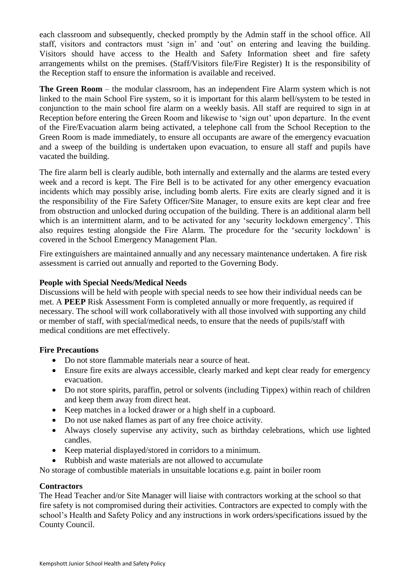each classroom and subsequently, checked promptly by the Admin staff in the school office. All staff, visitors and contractors must 'sign in' and 'out' on entering and leaving the building. Visitors should have access to the Health and Safety Information sheet and fire safety arrangements whilst on the premises. (Staff/Visitors file/Fire Register) It is the responsibility of the Reception staff to ensure the information is available and received.

**The Green Room** – the modular classroom, has an independent Fire Alarm system which is not linked to the main School Fire system, so it is important for this alarm bell/system to be tested in conjunction to the main school fire alarm on a weekly basis. All staff are required to sign in at Reception before entering the Green Room and likewise to 'sign out' upon departure. In the event of the Fire/Evacuation alarm being activated, a telephone call from the School Reception to the Green Room is made immediately, to ensure all occupants are aware of the emergency evacuation and a sweep of the building is undertaken upon evacuation, to ensure all staff and pupils have vacated the building.

The fire alarm bell is clearly audible, both internally and externally and the alarms are tested every week and a record is kept. The Fire Bell is to be activated for any other emergency evacuation incidents which may possibly arise, including bomb alerts. Fire exits are clearly signed and it is the responsibility of the Fire Safety Officer/Site Manager, to ensure exits are kept clear and free from obstruction and unlocked during occupation of the building. There is an additional alarm bell which is an intermittent alarm, and to be activated for any 'security lockdown emergency'. This also requires testing alongside the Fire Alarm. The procedure for the 'security lockdown' is covered in the School Emergency Management Plan.

Fire extinguishers are maintained annually and any necessary maintenance undertaken. A fire risk assessment is carried out annually and reported to the Governing Body.

## **People with Special Needs/Medical Needs**

Discussions will be held with people with special needs to see how their individual needs can be met. A **PEEP** Risk Assessment Form is completed annually or more frequently, as required if necessary. The school will work collaboratively with all those involved with supporting any child or member of staff, with special/medical needs, to ensure that the needs of pupils/staff with medical conditions are met effectively.

## **Fire Precautions**

- Do not store flammable materials near a source of heat.
- Ensure fire exits are always accessible, clearly marked and kept clear ready for emergency evacuation.
- Do not store spirits, paraffin, petrol or solvents (including Tippex) within reach of children and keep them away from direct heat.
- Keep matches in a locked drawer or a high shelf in a cupboard.
- Do not use naked flames as part of any free choice activity.
- Always closely supervise any activity, such as birthday celebrations, which use lighted candles.
- Keep material displayed/stored in corridors to a minimum.
- Rubbish and waste materials are not allowed to accumulate

No storage of combustible materials in unsuitable locations e.g. paint in boiler room

#### **Contractors**

The Head Teacher and/or Site Manager will liaise with contractors working at the school so that fire safety is not compromised during their activities. Contractors are expected to comply with the school's Health and Safety Policy and any instructions in work orders/specifications issued by the County Council.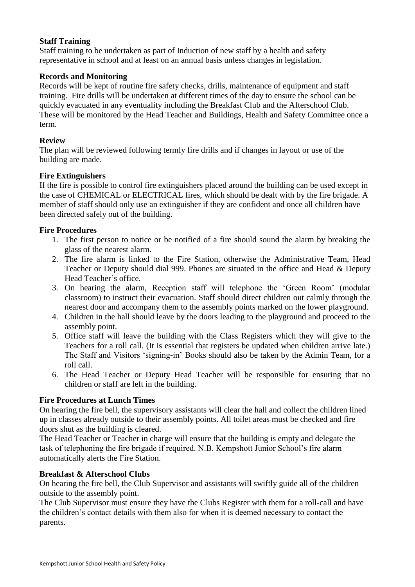## **Staff Training**

Staff training to be undertaken as part of Induction of new staff by a health and safety representative in school and at least on an annual basis unless changes in legislation.

## **Records and Monitoring**

Records will be kept of routine fire safety checks, drills, maintenance of equipment and staff training. Fire drills will be undertaken at different times of the day to ensure the school can be quickly evacuated in any eventuality including the Breakfast Club and the Afterschool Club. These will be monitored by the Head Teacher and Buildings, Health and Safety Committee once a term.

## **Review**

The plan will be reviewed following termly fire drills and if changes in layout or use of the building are made.

## **Fire Extinguishers**

If the fire is possible to control fire extinguishers placed around the building can be used except in the case of CHEMICAL or ELECTRICAL fires, which should be dealt with by the fire brigade. A member of staff should only use an extinguisher if they are confident and once all children have been directed safely out of the building.

#### **Fire Procedures**

- 1. The first person to notice or be notified of a fire should sound the alarm by breaking the glass of the nearest alarm.
- 2. The fire alarm is linked to the Fire Station, otherwise the Administrative Team, Head Teacher or Deputy should dial 999. Phones are situated in the office and Head & Deputy Head Teacher's office.
- 3. On hearing the alarm, Reception staff will telephone the 'Green Room' (modular classroom) to instruct their evacuation. Staff should direct children out calmly through the nearest door and accompany them to the assembly points marked on the lower playground.
- 4. Children in the hall should leave by the doors leading to the playground and proceed to the assembly point.
- 5. Office staff will leave the building with the Class Registers which they will give to the Teachers for a roll call. (It is essential that registers be updated when children arrive late.) The Staff and Visitors 'signing-in' Books should also be taken by the Admin Team, for a roll call.
- 6. The Head Teacher or Deputy Head Teacher will be responsible for ensuring that no children or staff are left in the building.

#### **Fire Procedures at Lunch Times**

On hearing the fire bell, the supervisory assistants will clear the hall and collect the children lined up in classes already outside to their assembly points. All toilet areas must be checked and fire doors shut as the building is cleared.

The Head Teacher or Teacher in charge will ensure that the building is empty and delegate the task of telephoning the fire brigade if required. N.B. Kempshott Junior School's fire alarm automatically alerts the Fire Station.

## **Breakfast & Afterschool Clubs**

On hearing the fire bell, the Club Supervisor and assistants will swiftly guide all of the children outside to the assembly point.

The Club Supervisor must ensure they have the Clubs Register with them for a roll-call and have the children's contact details with them also for when it is deemed necessary to contact the parents.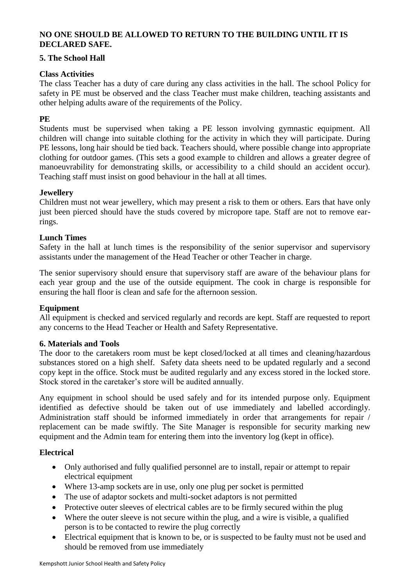## **NO ONE SHOULD BE ALLOWED TO RETURN TO THE BUILDING UNTIL IT IS DECLARED SAFE.**

#### **5. The School Hall**

### **Class Activities**

The class Teacher has a duty of care during any class activities in the hall. The school Policy for safety in PE must be observed and the class Teacher must make children, teaching assistants and other helping adults aware of the requirements of the Policy.

#### **PE**

Students must be supervised when taking a PE lesson involving gymnastic equipment. All children will change into suitable clothing for the activity in which they will participate. During PE lessons, long hair should be tied back. Teachers should, where possible change into appropriate clothing for outdoor games. (This sets a good example to children and allows a greater degree of manoeuvrability for demonstrating skills, or accessibility to a child should an accident occur). Teaching staff must insist on good behaviour in the hall at all times.

#### **Jewellery**

Children must not wear jewellery, which may present a risk to them or others. Ears that have only just been pierced should have the studs covered by micropore tape. Staff are not to remove earrings.

#### **Lunch Times**

Safety in the hall at lunch times is the responsibility of the senior supervisor and supervisory assistants under the management of the Head Teacher or other Teacher in charge.

The senior supervisory should ensure that supervisory staff are aware of the behaviour plans for each year group and the use of the outside equipment. The cook in charge is responsible for ensuring the hall floor is clean and safe for the afternoon session.

#### **Equipment**

All equipment is checked and serviced regularly and records are kept. Staff are requested to report any concerns to the Head Teacher or Health and Safety Representative.

#### **6. Materials and Tools**

The door to the caretakers room must be kept closed/locked at all times and cleaning/hazardous substances stored on a high shelf. Safety data sheets need to be updated regularly and a second copy kept in the office. Stock must be audited regularly and any excess stored in the locked store. Stock stored in the caretaker's store will be audited annually.

Any equipment in school should be used safely and for its intended purpose only. Equipment identified as defective should be taken out of use immediately and labelled accordingly. Administration staff should be informed immediately in order that arrangements for repair / replacement can be made swiftly. The Site Manager is responsible for security marking new equipment and the Admin team for entering them into the inventory log (kept in office).

#### **Electrical**

- Only authorised and fully qualified personnel are to install, repair or attempt to repair electrical equipment
- Where 13-amp sockets are in use, only one plug per socket is permitted
- The use of adaptor sockets and multi-socket adaptors is not permitted
- Protective outer sleeves of electrical cables are to be firmly secured within the plug
- Where the outer sleeve is not secure within the plug, and a wire is visible, a qualified person is to be contacted to rewire the plug correctly
- Electrical equipment that is known to be, or is suspected to be faulty must not be used and should be removed from use immediately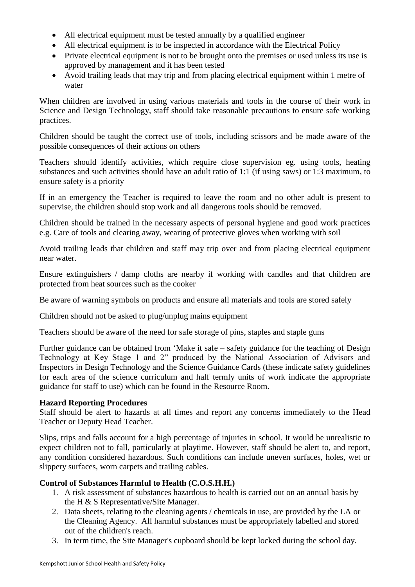- All electrical equipment must be tested annually by a qualified engineer
- All electrical equipment is to be inspected in accordance with the Electrical Policy
- Private electrical equipment is not to be brought onto the premises or used unless its use is approved by management and it has been tested
- Avoid trailing leads that may trip and from placing electrical equipment within 1 metre of water

When children are involved in using various materials and tools in the course of their work in Science and Design Technology, staff should take reasonable precautions to ensure safe working practices.

Children should be taught the correct use of tools, including scissors and be made aware of the possible consequences of their actions on others

Teachers should identify activities, which require close supervision eg. using tools, heating substances and such activities should have an adult ratio of 1:1 (if using saws) or 1:3 maximum, to ensure safety is a priority

If in an emergency the Teacher is required to leave the room and no other adult is present to supervise, the children should stop work and all dangerous tools should be removed.

Children should be trained in the necessary aspects of personal hygiene and good work practices e.g. Care of tools and clearing away, wearing of protective gloves when working with soil

Avoid trailing leads that children and staff may trip over and from placing electrical equipment near water.

Ensure extinguishers / damp cloths are nearby if working with candles and that children are protected from heat sources such as the cooker

Be aware of warning symbols on products and ensure all materials and tools are stored safely

Children should not be asked to plug/unplug mains equipment

Teachers should be aware of the need for safe storage of pins, staples and staple guns

Further guidance can be obtained from 'Make it safe – safety guidance for the teaching of Design Technology at Key Stage 1 and 2" produced by the National Association of Advisors and Inspectors in Design Technology and the Science Guidance Cards (these indicate safety guidelines for each area of the science curriculum and half termly units of work indicate the appropriate guidance for staff to use) which can be found in the Resource Room.

## **Hazard Reporting Procedures**

Staff should be alert to hazards at all times and report any concerns immediately to the Head Teacher or Deputy Head Teacher.

Slips, trips and falls account for a high percentage of injuries in school. It would be unrealistic to expect children not to fall, particularly at playtime. However, staff should be alert to, and report, any condition considered hazardous. Such conditions can include uneven surfaces, holes, wet or slippery surfaces, worn carpets and trailing cables.

## **Control of Substances Harmful to Health (C.O.S.H.H.)**

- 1. A risk assessment of substances hazardous to health is carried out on an annual basis by the H & S Representative/Site Manager.
- 2. Data sheets, relating to the cleaning agents / chemicals in use, are provided by the LA or the Cleaning Agency. All harmful substances must be appropriately labelled and stored out of the children's reach.
- 3. In term time, the Site Manager's cupboard should be kept locked during the school day.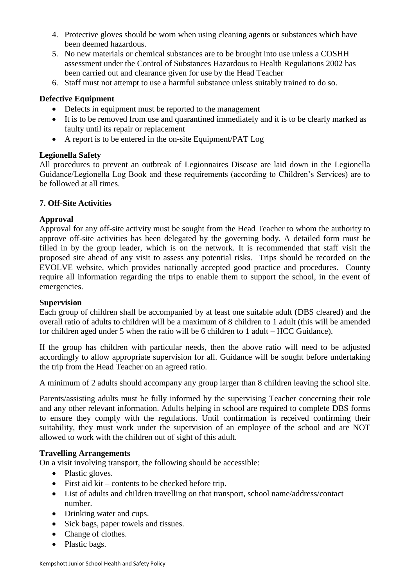- 4. Protective gloves should be worn when using cleaning agents or substances which have been deemed hazardous.
- 5. No new materials or chemical substances are to be brought into use unless a COSHH assessment under the Control of Substances Hazardous to Health Regulations 2002 has been carried out and clearance given for use by the Head Teacher
- 6. Staff must not attempt to use a harmful substance unless suitably trained to do so.

## **Defective Equipment**

- Defects in equipment must be reported to the management
- It is to be removed from use and quarantined immediately and it is to be clearly marked as faulty until its repair or replacement
- A report is to be entered in the on-site Equipment/PAT Log

#### **Legionella Safety**

All procedures to prevent an outbreak of Legionnaires Disease are laid down in the Legionella Guidance/Legionella Log Book and these requirements (according to Children's Services) are to be followed at all times.

## **7. Off-Site Activities**

#### **Approval**

Approval for any off-site activity must be sought from the Head Teacher to whom the authority to approve off-site activities has been delegated by the governing body. A detailed form must be filled in by the group leader, which is on the network. It is recommended that staff visit the proposed site ahead of any visit to assess any potential risks. Trips should be recorded on the EVOLVE website, which provides nationally accepted good practice and procedures. County require all information regarding the trips to enable them to support the school, in the event of emergencies.

#### **Supervision**

Each group of children shall be accompanied by at least one suitable adult (DBS cleared) and the overall ratio of adults to children will be a maximum of 8 children to 1 adult (this will be amended for children aged under 5 when the ratio will be 6 children to 1 adult – HCC Guidance).

If the group has children with particular needs, then the above ratio will need to be adjusted accordingly to allow appropriate supervision for all. Guidance will be sought before undertaking the trip from the Head Teacher on an agreed ratio.

A minimum of 2 adults should accompany any group larger than 8 children leaving the school site.

Parents/assisting adults must be fully informed by the supervising Teacher concerning their role and any other relevant information. Adults helping in school are required to complete DBS forms to ensure they comply with the regulations. Until confirmation is received confirming their suitability, they must work under the supervision of an employee of the school and are NOT allowed to work with the children out of sight of this adult.

#### **Travelling Arrangements**

On a visit involving transport, the following should be accessible:

- Plastic gloves.
- First aid kit contents to be checked before trip.
- List of adults and children travelling on that transport, school name/address/contact number.
- Drinking water and cups.
- Sick bags, paper towels and tissues.
- Change of clothes.
- Plastic bags.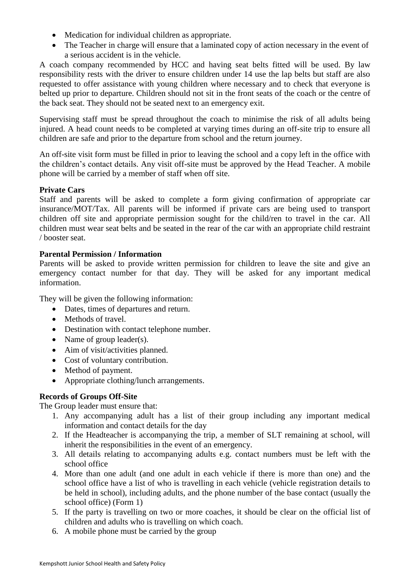- Medication for individual children as appropriate.
- The Teacher in charge will ensure that a laminated copy of action necessary in the event of a serious accident is in the vehicle.

A coach company recommended by HCC and having seat belts fitted will be used. By law responsibility rests with the driver to ensure children under 14 use the lap belts but staff are also requested to offer assistance with young children where necessary and to check that everyone is belted up prior to departure. Children should not sit in the front seats of the coach or the centre of the back seat. They should not be seated next to an emergency exit.

Supervising staff must be spread throughout the coach to minimise the risk of all adults being injured. A head count needs to be completed at varying times during an off-site trip to ensure all children are safe and prior to the departure from school and the return journey.

An off-site visit form must be filled in prior to leaving the school and a copy left in the office with the children's contact details. Any visit off-site must be approved by the Head Teacher. A mobile phone will be carried by a member of staff when off site.

## **Private Cars**

Staff and parents will be asked to complete a form giving confirmation of appropriate car insurance/MOT/Tax. All parents will be informed if private cars are being used to transport children off site and appropriate permission sought for the child/ren to travel in the car. All children must wear seat belts and be seated in the rear of the car with an appropriate child restraint / booster seat.

## **Parental Permission / Information**

Parents will be asked to provide written permission for children to leave the site and give an emergency contact number for that day. They will be asked for any important medical information.

They will be given the following information:

- Dates, times of departures and return.
- Methods of travel.
- Destination with contact telephone number.
- Name of group leader(s).
- Aim of visit/activities planned.
- Cost of voluntary contribution.
- Method of payment.
- Appropriate clothing/lunch arrangements.

## **Records of Groups Off-Site**

The Group leader must ensure that:

- 1. Any accompanying adult has a list of their group including any important medical information and contact details for the day
- 2. If the Headteacher is accompanying the trip, a member of SLT remaining at school, will inherit the responsibilities in the event of an emergency.
- 3. All details relating to accompanying adults e.g. contact numbers must be left with the school office
- 4. More than one adult (and one adult in each vehicle if there is more than one) and the school office have a list of who is travelling in each vehicle (vehicle registration details to be held in school), including adults, and the phone number of the base contact (usually the school office) (Form 1)
- 5. If the party is travelling on two or more coaches, it should be clear on the official list of children and adults who is travelling on which coach.
- 6. A mobile phone must be carried by the group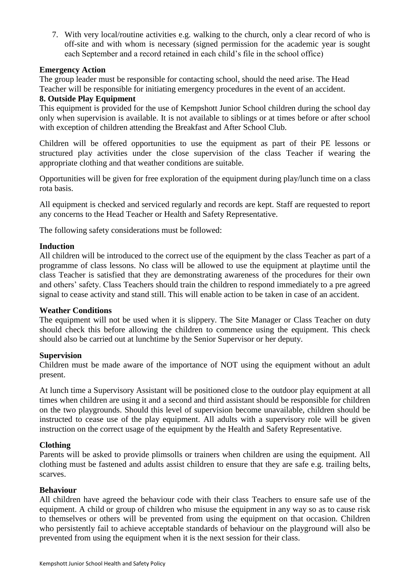7. With very local/routine activities e.g. walking to the church, only a clear record of who is off-site and with whom is necessary (signed permission for the academic year is sought each September and a record retained in each child's file in the school office)

#### **Emergency Action**

The group leader must be responsible for contacting school, should the need arise. The Head Teacher will be responsible for initiating emergency procedures in the event of an accident.

#### **8. Outside Play Equipment**

This equipment is provided for the use of Kempshott Junior School children during the school day only when supervision is available. It is not available to siblings or at times before or after school with exception of children attending the Breakfast and After School Club.

Children will be offered opportunities to use the equipment as part of their PE lessons or structured play activities under the close supervision of the class Teacher if wearing the appropriate clothing and that weather conditions are suitable.

Opportunities will be given for free exploration of the equipment during play/lunch time on a class rota basis.

All equipment is checked and serviced regularly and records are kept. Staff are requested to report any concerns to the Head Teacher or Health and Safety Representative.

The following safety considerations must be followed:

#### **Induction**

All children will be introduced to the correct use of the equipment by the class Teacher as part of a programme of class lessons. No class will be allowed to use the equipment at playtime until the class Teacher is satisfied that they are demonstrating awareness of the procedures for their own and others' safety. Class Teachers should train the children to respond immediately to a pre agreed signal to cease activity and stand still. This will enable action to be taken in case of an accident.

#### **Weather Conditions**

The equipment will not be used when it is slippery. The Site Manager or Class Teacher on duty should check this before allowing the children to commence using the equipment. This check should also be carried out at lunchtime by the Senior Supervisor or her deputy.

## **Supervision**

Children must be made aware of the importance of NOT using the equipment without an adult present.

At lunch time a Supervisory Assistant will be positioned close to the outdoor play equipment at all times when children are using it and a second and third assistant should be responsible for children on the two playgrounds. Should this level of supervision become unavailable, children should be instructed to cease use of the play equipment. All adults with a supervisory role will be given instruction on the correct usage of the equipment by the Health and Safety Representative.

## **Clothing**

Parents will be asked to provide plimsolls or trainers when children are using the equipment. All clothing must be fastened and adults assist children to ensure that they are safe e.g. trailing belts, scarves.

#### **Behaviour**

All children have agreed the behaviour code with their class Teachers to ensure safe use of the equipment. A child or group of children who misuse the equipment in any way so as to cause risk to themselves or others will be prevented from using the equipment on that occasion. Children who persistently fail to achieve acceptable standards of behaviour on the playground will also be prevented from using the equipment when it is the next session for their class.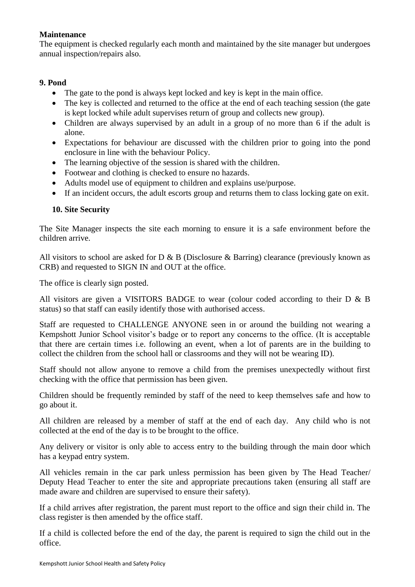## **Maintenance**

The equipment is checked regularly each month and maintained by the site manager but undergoes annual inspection/repairs also.

#### **9. Pond**

- The gate to the pond is always kept locked and key is kept in the main office.
- The key is collected and returned to the office at the end of each teaching session (the gate is kept locked while adult supervises return of group and collects new group).
- Children are always supervised by an adult in a group of no more than 6 if the adult is alone.
- Expectations for behaviour are discussed with the children prior to going into the pond enclosure in line with the behaviour Policy.
- The learning objective of the session is shared with the children.
- Footwear and clothing is checked to ensure no hazards.
- Adults model use of equipment to children and explains use/purpose.
- If an incident occurs, the adult escorts group and returns them to class locking gate on exit.

#### **10. Site Security**

The Site Manager inspects the site each morning to ensure it is a safe environment before the children arrive.

All visitors to school are asked for D & B (Disclosure & Barring) clearance (previously known as CRB) and requested to SIGN IN and OUT at the office.

The office is clearly sign posted.

All visitors are given a VISITORS BADGE to wear (colour coded according to their D & B status) so that staff can easily identify those with authorised access.

Staff are requested to CHALLENGE ANYONE seen in or around the building not wearing a Kempshott Junior School visitor's badge or to report any concerns to the office. (It is acceptable that there are certain times i.e. following an event, when a lot of parents are in the building to collect the children from the school hall or classrooms and they will not be wearing ID).

Staff should not allow anyone to remove a child from the premises unexpectedly without first checking with the office that permission has been given.

Children should be frequently reminded by staff of the need to keep themselves safe and how to go about it.

All children are released by a member of staff at the end of each day. Any child who is not collected at the end of the day is to be brought to the office.

Any delivery or visitor is only able to access entry to the building through the main door which has a keypad entry system.

All vehicles remain in the car park unless permission has been given by The Head Teacher/ Deputy Head Teacher to enter the site and appropriate precautions taken (ensuring all staff are made aware and children are supervised to ensure their safety).

If a child arrives after registration, the parent must report to the office and sign their child in. The class register is then amended by the office staff.

If a child is collected before the end of the day, the parent is required to sign the child out in the office.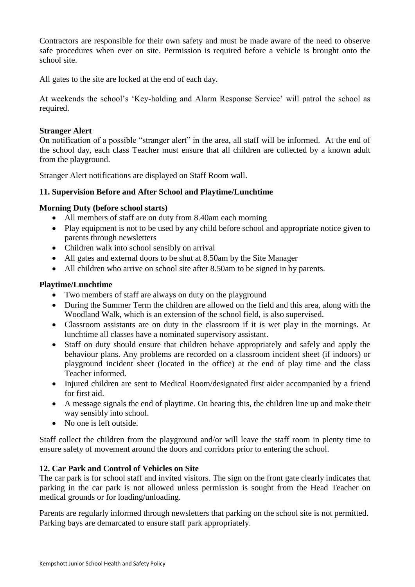Contractors are responsible for their own safety and must be made aware of the need to observe safe procedures when ever on site. Permission is required before a vehicle is brought onto the school site.

All gates to the site are locked at the end of each day.

At weekends the school's 'Key-holding and Alarm Response Service' will patrol the school as required.

#### **Stranger Alert**

On notification of a possible "stranger alert" in the area, all staff will be informed. At the end of the school day, each class Teacher must ensure that all children are collected by a known adult from the playground.

Stranger Alert notifications are displayed on Staff Room wall.

#### **11. Supervision Before and After School and Playtime/Lunchtime**

#### **Morning Duty (before school starts)**

- All members of staff are on duty from 8.40am each morning
- Play equipment is not to be used by any child before school and appropriate notice given to parents through newsletters
- Children walk into school sensibly on arrival
- All gates and external doors to be shut at 8.50am by the Site Manager
- All children who arrive on school site after 8.50am to be signed in by parents.

#### **Playtime/Lunchtime**

- Two members of staff are always on duty on the playground
- During the Summer Term the children are allowed on the field and this area, along with the Woodland Walk, which is an extension of the school field, is also supervised.
- Classroom assistants are on duty in the classroom if it is wet play in the mornings. At lunchtime all classes have a nominated supervisory assistant.
- Staff on duty should ensure that children behave appropriately and safely and apply the behaviour plans. Any problems are recorded on a classroom incident sheet (if indoors) or playground incident sheet (located in the office) at the end of play time and the class Teacher informed.
- Injured children are sent to Medical Room/designated first aider accompanied by a friend for first aid.
- A message signals the end of playtime. On hearing this, the children line up and make their way sensibly into school.
- No one is left outside.

Staff collect the children from the playground and/or will leave the staff room in plenty time to ensure safety of movement around the doors and corridors prior to entering the school.

## **12. Car Park and Control of Vehicles on Site**

The car park is for school staff and invited visitors. The sign on the front gate clearly indicates that parking in the car park is not allowed unless permission is sought from the Head Teacher on medical grounds or for loading/unloading.

Parents are regularly informed through newsletters that parking on the school site is not permitted. Parking bays are demarcated to ensure staff park appropriately.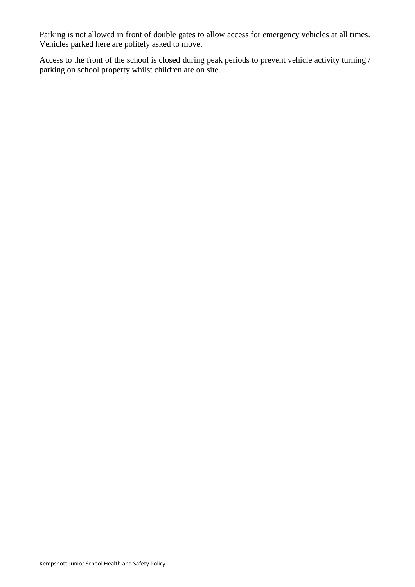Parking is not allowed in front of double gates to allow access for emergency vehicles at all times. Vehicles parked here are politely asked to move.

Access to the front of the school is closed during peak periods to prevent vehicle activity turning / parking on school property whilst children are on site.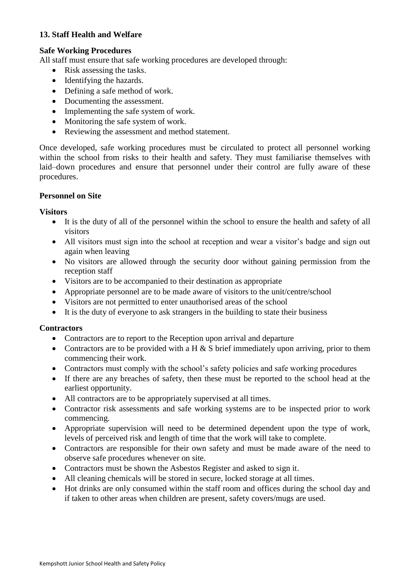## **13. Staff Health and Welfare**

## **Safe Working Procedures**

All staff must ensure that safe working procedures are developed through:

- Risk assessing the tasks.
- Identifying the hazards.
- Defining a safe method of work.
- Documenting the assessment.
- Implementing the safe system of work.
- Monitoring the safe system of work.
- Reviewing the assessment and method statement.

Once developed, safe working procedures must be circulated to protect all personnel working within the school from risks to their health and safety. They must familiarise themselves with laid–down procedures and ensure that personnel under their control are fully aware of these procedures.

## **Personnel on Site**

#### **Visitors**

- It is the duty of all of the personnel within the school to ensure the health and safety of all visitors
- All visitors must sign into the school at reception and wear a visitor's badge and sign out again when leaving
- No visitors are allowed through the security door without gaining permission from the reception staff
- Visitors are to be accompanied to their destination as appropriate
- Appropriate personnel are to be made aware of visitors to the unit/centre/school
- Visitors are not permitted to enter unauthorised areas of the school
- It is the duty of everyone to ask strangers in the building to state their business

## **Contractors**

- Contractors are to report to the Reception upon arrival and departure
- Contractors are to be provided with a H  $\&$  S brief immediately upon arriving, prior to them commencing their work.
- Contractors must comply with the school's safety policies and safe working procedures
- If there are any breaches of safety, then these must be reported to the school head at the earliest opportunity.
- All contractors are to be appropriately supervised at all times.
- Contractor risk assessments and safe working systems are to be inspected prior to work commencing.
- Appropriate supervision will need to be determined dependent upon the type of work, levels of perceived risk and length of time that the work will take to complete.
- Contractors are responsible for their own safety and must be made aware of the need to observe safe procedures whenever on site.
- Contractors must be shown the Asbestos Register and asked to sign it.
- All cleaning chemicals will be stored in secure, locked storage at all times.
- Hot drinks are only consumed within the staff room and offices during the school day and if taken to other areas when children are present, safety covers/mugs are used.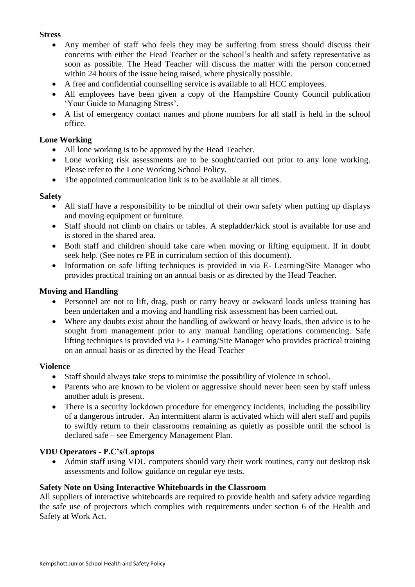#### **Stress**

- Any member of staff who feels they may be suffering from stress should discuss their concerns with either the Head Teacher or the school's health and safety representative as soon as possible. The Head Teacher will discuss the matter with the person concerned within 24 hours of the issue being raised, where physically possible.
- A free and confidential counselling service is available to all HCC employees.
- All employees have been given a copy of the Hampshire County Council publication 'Your Guide to Managing Stress'.
- A list of emergency contact names and phone numbers for all staff is held in the school office.

## **Lone Working**

- All lone working is to be approved by the Head Teacher.
- Lone working risk assessments are to be sought/carried out prior to any lone working. Please refer to the Lone Working School Policy.
- The appointed communication link is to be available at all times.

#### **Safety**

- All staff have a responsibility to be mindful of their own safety when putting up displays and moving equipment or furniture.
- Staff should not climb on chairs or tables. A stepladder/kick stool is available for use and is stored in the shared area.
- Both staff and children should take care when moving or lifting equipment. If in doubt seek help. (See notes re PE in curriculum section of this document).
- Information on safe lifting techniques is provided in via E- Learning/Site Manager who provides practical training on an annual basis or as directed by the Head Teacher.

## **Moving and Handling**

- Personnel are not to lift, drag, push or carry heavy or awkward loads unless training has been undertaken and a moving and handling risk assessment has been carried out.
- Where any doubts exist about the handling of awkward or heavy loads, then advice is to be sought from management prior to any manual handling operations commencing. Safe lifting techniques is provided via E- Learning/Site Manager who provides practical training on an annual basis or as directed by the Head Teacher

## **Violence**

- Staff should always take steps to minimise the possibility of violence in school.
- Parents who are known to be violent or aggressive should never been seen by staff unless another adult is present.
- There is a security lockdown procedure for emergency incidents, including the possibility of a dangerous intruder. An intermittent alarm is activated which will alert staff and pupils to swiftly return to their classrooms remaining as quietly as possible until the school is declared safe – see Emergency Management Plan.

## **VDU Operators - P.C's/Laptops**

• Admin staff using VDU computers should vary their work routines, carry out desktop risk assessments and follow guidance on regular eye tests.

## **Safety Note on Using Interactive Whiteboards in the Classroom**

All suppliers of interactive whiteboards are required to provide health and safety advice regarding the safe use of projectors which complies with requirements under section 6 of the Health and Safety at Work Act.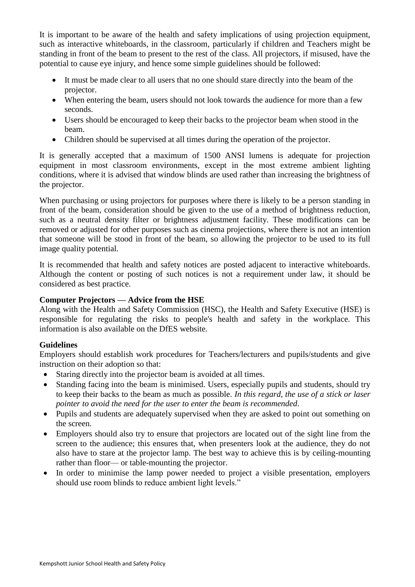It is important to be aware of the health and safety implications of using projection equipment, such as interactive whiteboards, in the classroom, particularly if children and Teachers might be standing in front of the beam to present to the rest of the class. All projectors, if misused, have the potential to cause eye injury, and hence some simple guidelines should be followed:

- It must be made clear to all users that no one should stare directly into the beam of the projector.
- When entering the beam, users should not look towards the audience for more than a few seconds.
- Users should be encouraged to keep their backs to the projector beam when stood in the beam.
- Children should be supervised at all times during the operation of the projector.

It is generally accepted that a maximum of 1500 ANSI lumens is adequate for projection equipment in most classroom environments, except in the most extreme ambient lighting conditions, where it is advised that window blinds are used rather than increasing the brightness of the projector.

When purchasing or using projectors for purposes where there is likely to be a person standing in front of the beam, consideration should be given to the use of a method of brightness reduction, such as a neutral density filter or brightness adjustment facility. These modifications can be removed or adjusted for other purposes such as cinema projections, where there is not an intention that someone will be stood in front of the beam, so allowing the projector to be used to its full image quality potential.

It is recommended that health and safety notices are posted adjacent to interactive whiteboards. Although the content or posting of such notices is not a requirement under law, it should be considered as best practice.

## **Computer Projectors — Advice from the HSE**

Along with the Health and Safety Commission (HSC), the Health and Safety Executive (HSE) is responsible for regulating the risks to people's health and safety in the workplace. This information is also available on the DfES website.

## **Guidelines**

Employers should establish work procedures for Teachers/lecturers and pupils/students and give instruction on their adoption so that:

- Staring directly into the projector beam is avoided at all times.
- Standing facing into the beam is minimised. Users, especially pupils and students, should try to keep their backs to the beam as much as possible. *In this regard, the use of a stick or laser pointer to avoid the need for the user to enter the beam is recommended*.
- Pupils and students are adequately supervised when they are asked to point out something on the screen.
- Employers should also try to ensure that projectors are located out of the sight line from the screen to the audience; this ensures that, when presenters look at the audience, they do not also have to stare at the projector lamp. The best way to achieve this is by ceiling-mounting rather than floor— or table-mounting the projector.
- In order to minimise the lamp power needed to project a visible presentation, employers should use room blinds to reduce ambient light levels."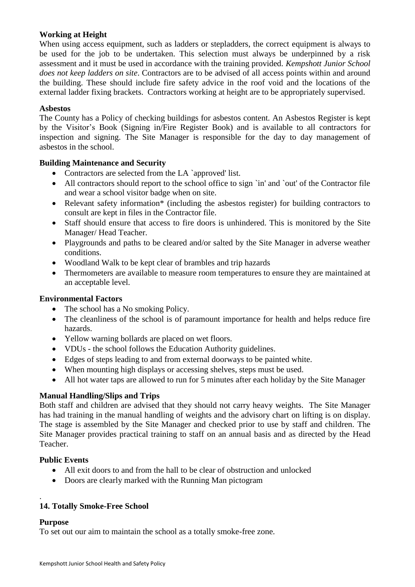## **Working at Height**

When using access equipment, such as ladders or stepladders, the correct equipment is always to be used for the job to be undertaken. This selection must always be underpinned by a risk assessment and it must be used in accordance with the training provided. *Kempshott Junior School does not keep ladders on site*. Contractors are to be advised of all access points within and around the building. These should include fire safety advice in the roof void and the locations of the external ladder fixing brackets. Contractors working at height are to be appropriately supervised.

#### **Asbestos**

The County has a Policy of checking buildings for asbestos content. An Asbestos Register is kept by the Visitor's Book (Signing in/Fire Register Book) and is available to all contractors for inspection and signing. The Site Manager is responsible for the day to day management of asbestos in the school.

#### **Building Maintenance and Security**

- Contractors are selected from the LA `approved' list.
- All contractors should report to the school office to sign `in' and `out' of the Contractor file and wear a school visitor badge when on site.
- Relevant safety information\* (including the asbestos register) for building contractors to consult are kept in files in the Contractor file.
- Staff should ensure that access to fire doors is unhindered. This is monitored by the Site Manager/ Head Teacher.
- Playgrounds and paths to be cleared and/or salted by the Site Manager in adverse weather conditions.
- Woodland Walk to be kept clear of brambles and trip hazards
- Thermometers are available to measure room temperatures to ensure they are maintained at an acceptable level.

#### **Environmental Factors**

- The school has a No smoking Policy.
- The cleanliness of the school is of paramount importance for health and helps reduce fire hazards.
- Yellow warning bollards are placed on wet floors.
- VDUs the school follows the Education Authority guidelines.
- Edges of steps leading to and from external doorways to be painted white.
- When mounting high displays or accessing shelves, steps must be used.
- All hot water taps are allowed to run for 5 minutes after each holiday by the Site Manager

## **Manual Handling/Slips and Trips**

Both staff and children are advised that they should not carry heavy weights. The Site Manager has had training in the manual handling of weights and the advisory chart on lifting is on display. The stage is assembled by the Site Manager and checked prior to use by staff and children. The Site Manager provides practical training to staff on an annual basis and as directed by the Head Teacher.

#### **Public Events**

- All exit doors to and from the hall to be clear of obstruction and unlocked
- Doors are clearly marked with the Running Man pictogram

## **14. Totally Smoke-Free School**

#### **Purpose**

.

To set out our aim to maintain the school as a totally smoke-free zone.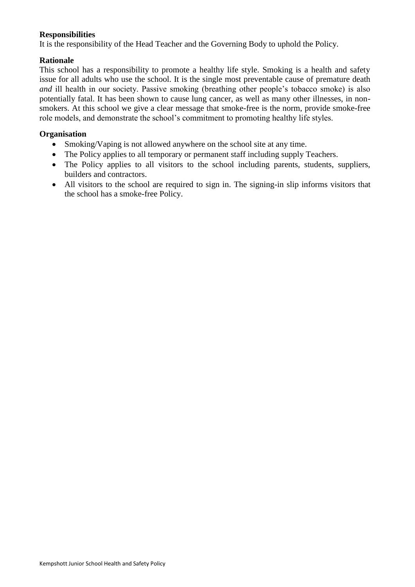#### **Responsibilities**

It is the responsibility of the Head Teacher and the Governing Body to uphold the Policy.

#### **Rationale**

This school has a responsibility to promote a healthy life style. Smoking is a health and safety issue for all adults who use the school. It is the single most preventable cause of premature death *and* ill health in our society. Passive smoking (breathing other people's tobacco smoke) is also potentially fatal. It has been shown to cause lung cancer, as well as many other illnesses, in nonsmokers. At this school we give a clear message that smoke-free is the norm, provide smoke-free role models, and demonstrate the school's commitment to promoting healthy life styles.

#### **Organisation**

- Smoking/Vaping is not allowed anywhere on the school site at any time.
- The Policy applies to all temporary or permanent staff including supply Teachers.
- The Policy applies to all visitors to the school including parents, students, suppliers, builders and contractors.
- All visitors to the school are required to sign in. The signing-in slip informs visitors that the school has a smoke-free Policy.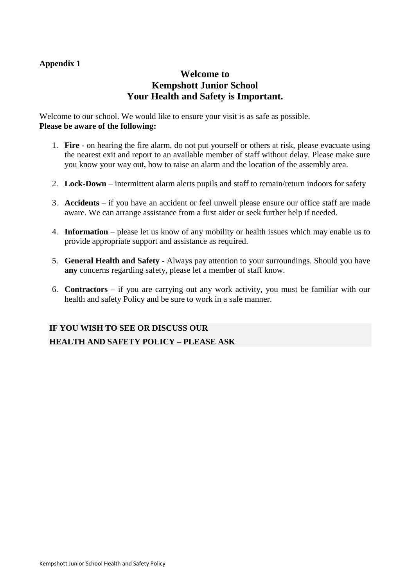## **Appendix 1**

## **Welcome to Kempshott Junior School Your Health and Safety is Important.**

Welcome to our school. We would like to ensure your visit is as safe as possible. **Please be aware of the following:**

- 1. **Fire** on hearing the fire alarm, do not put yourself or others at risk, please evacuate using the nearest exit and report to an available member of staff without delay. Please make sure you know your way out, how to raise an alarm and the location of the assembly area.
- 2. **Lock**-**Down** intermittent alarm alerts pupils and staff to remain/return indoors for safety
- 3. **Accidents** if you have an accident or feel unwell please ensure our office staff are made aware. We can arrange assistance from a first aider or seek further help if needed.
- 4. **Information** please let us know of any mobility or health issues which may enable us to provide appropriate support and assistance as required.
- 5. **General Health and Safety** Always pay attention to your surroundings. Should you have **any** concerns regarding safety, please let a member of staff know.
- 6. **Contractors** if you are carrying out any work activity, you must be familiar with our health and safety Policy and be sure to work in a safe manner.

# **IF YOU WISH TO SEE OR DISCUSS OUR HEALTH AND SAFETY POLICY – PLEASE ASK**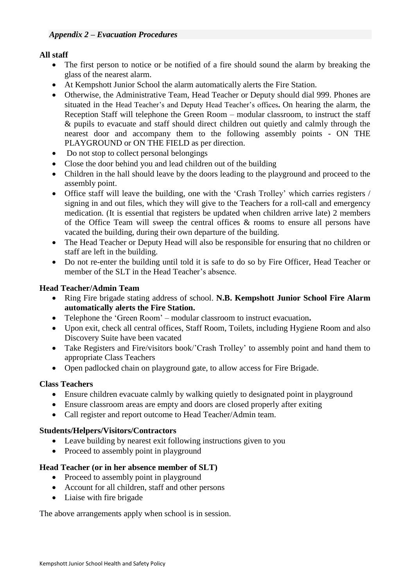## **All staff**

- The first person to notice or be notified of a fire should sound the alarm by breaking the glass of the nearest alarm.
- At Kempshott Junior School the alarm automatically alerts the Fire Station.
- Otherwise, the Administrative Team, Head Teacher or Deputy should dial 999. Phones are situated in the Head Teacher's and Deputy Head Teacher's offices**.** On hearing the alarm, the Reception Staff will telephone the Green Room – modular classroom, to instruct the staff & pupils to evacuate and staff should direct children out quietly and calmly through the nearest door and accompany them to the following assembly points - ON THE PLAYGROUND or ON THE FIELD as per direction.
- Do not stop to collect personal belongings
- Close the door behind you and lead children out of the building
- Children in the hall should leave by the doors leading to the playground and proceed to the assembly point.
- Office staff will leave the building, one with the 'Crash Trolley' which carries registers / signing in and out files, which they will give to the Teachers for a roll-call and emergency medication. (It is essential that registers be updated when children arrive late) 2 members of the Office Team will sweep the central offices & rooms to ensure all persons have vacated the building, during their own departure of the building.
- The Head Teacher or Deputy Head will also be responsible for ensuring that no children or staff are left in the building.
- Do not re-enter the building until told it is safe to do so by Fire Officer, Head Teacher or member of the SLT in the Head Teacher's absence.

## **Head Teacher/Admin Team**

- Ring Fire brigade stating address of school. **N.B. Kempshott Junior School Fire Alarm automatically alerts the Fire Station.**
- Telephone the 'Green Room' modular classroom to instruct evacuation**.**
- Upon exit, check all central offices, Staff Room, Toilets, including Hygiene Room and also Discovery Suite have been vacated
- Take Registers and Fire/visitors book/'Crash Trolley' to assembly point and hand them to appropriate Class Teachers
- Open padlocked chain on playground gate, to allow access for Fire Brigade.

## **Class Teachers**

- Ensure children evacuate calmly by walking quietly to designated point in playground
- Ensure classroom areas are empty and doors are closed properly after exiting
- Call register and report outcome to Head Teacher/Admin team.

#### **Students/Helpers/Visitors/Contractors**

- Leave building by nearest exit following instructions given to you
- Proceed to assembly point in playground

## **Head Teacher (or in her absence member of SLT)**

- Proceed to assembly point in playeround
- Account for all children, staff and other persons
- Liaise with fire brigade

The above arrangements apply when school is in session.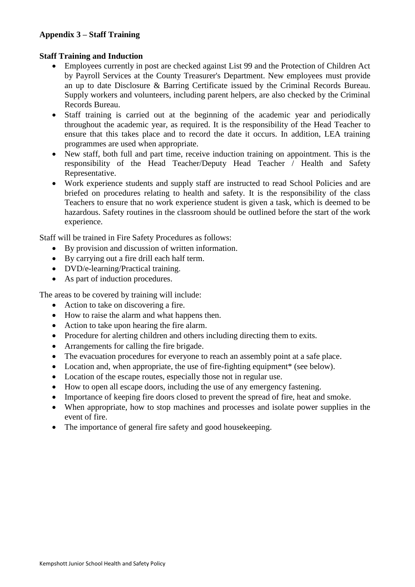## **Appendix 3 – Staff Training**

#### **Staff Training and Induction**

- Employees currently in post are checked against List 99 and the Protection of Children Act by Payroll Services at the County Treasurer's Department. New employees must provide an up to date Disclosure & Barring Certificate issued by the Criminal Records Bureau. Supply workers and volunteers, including parent helpers, are also checked by the Criminal Records Bureau.
- Staff training is carried out at the beginning of the academic year and periodically throughout the academic year, as required. It is the responsibility of the Head Teacher to ensure that this takes place and to record the date it occurs. In addition, LEA training programmes are used when appropriate.
- New staff, both full and part time, receive induction training on appointment. This is the responsibility of the Head Teacher/Deputy Head Teacher / Health and Safety Representative.
- Work experience students and supply staff are instructed to read School Policies and are briefed on procedures relating to health and safety. It is the responsibility of the class Teachers to ensure that no work experience student is given a task, which is deemed to be hazardous. Safety routines in the classroom should be outlined before the start of the work experience.

Staff will be trained in Fire Safety Procedures as follows:

- By provision and discussion of written information.
- By carrying out a fire drill each half term.
- DVD/e-learning/Practical training.
- As part of induction procedures.

The areas to be covered by training will include:

- Action to take on discovering a fire.
- How to raise the alarm and what happens then.
- Action to take upon hearing the fire alarm.
- Procedure for alerting children and others including directing them to exits.
- Arrangements for calling the fire brigade.
- The evacuation procedures for everyone to reach an assembly point at a safe place.
- Location and, when appropriate, the use of fire-fighting equipment\* (see below).
- Location of the escape routes, especially those not in regular use.
- How to open all escape doors, including the use of any emergency fastening.
- Importance of keeping fire doors closed to prevent the spread of fire, heat and smoke.
- When appropriate, how to stop machines and processes and isolate power supplies in the event of fire.
- The importance of general fire safety and good housekeeping.